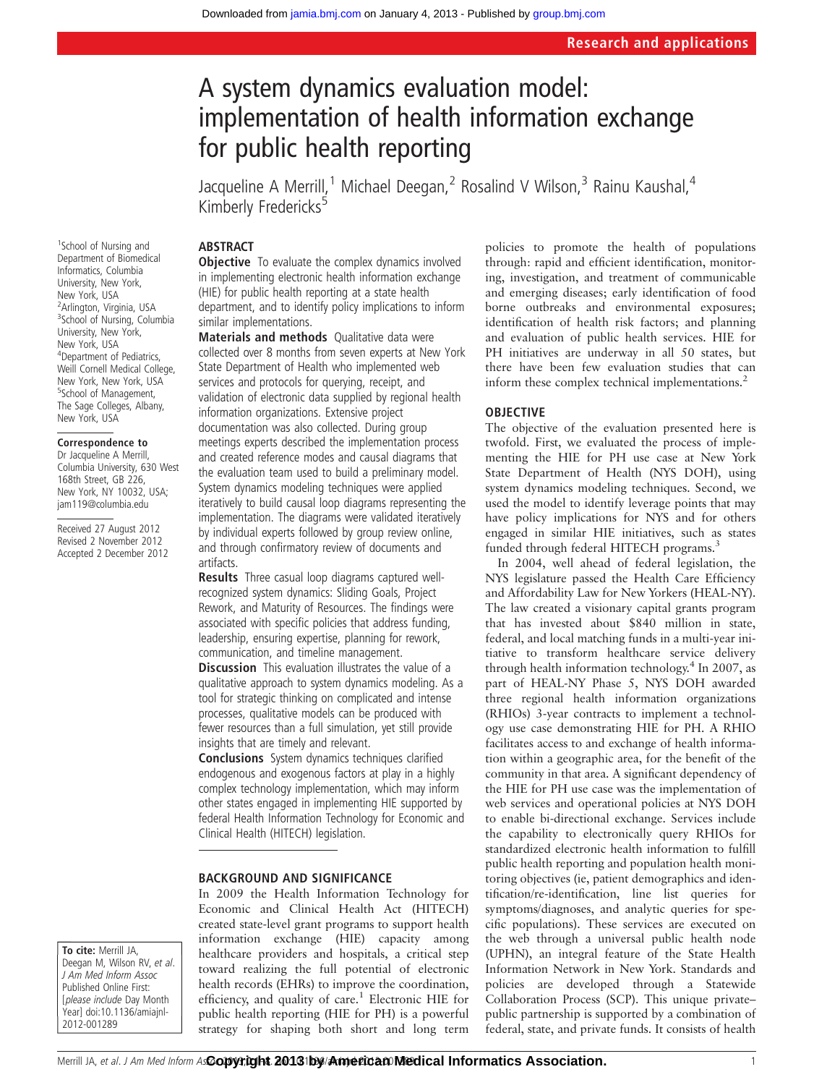# A system dynamics evaluation model: implementation of health information exchange for public health reporting

Jacqueline A Merrill,<sup>1</sup> Michael Deegan,<sup>2</sup> Rosalind V Wilson,<sup>3</sup> Rainu Kaushal,<sup>4</sup> Kimberly Fredericks<sup>5</sup>

## ABSTRACT

Department of Biomedical Informatics, Columbia University, New York, New York, USA <sup>2</sup> Arlington, Virginia, USA <sup>3</sup>School of Nursing, Columbia University, New York, New York, USA 4 Department of Pediatrics, Weill Cornell Medical College, New York, New York, USA 5 School of Management, The Sage Colleges, Albany, New York, USA

#### Correspondence to

<sup>1</sup>School of Nursing and

Dr Jacqueline A Merrill, Columbia University, 630 West 168th Street, GB 226, New York, NY 10032, USA; jam119@columbia.edu

Received 27 August 2012 Revised 2 November 2012 Accepted 2 December 2012 **Objective** To evaluate the complex dynamics involved in implementing electronic health information exchange (HIE) for public health reporting at a state health department, and to identify policy implications to inform similar implementations.

Materials and methods Qualitative data were collected over 8 months from seven experts at New York State Department of Health who implemented web services and protocols for querying, receipt, and validation of electronic data supplied by regional health information organizations. Extensive project documentation was also collected. During group meetings experts described the implementation process and created reference modes and causal diagrams that the evaluation team used to build a preliminary model. System dynamics modeling techniques were applied iteratively to build causal loop diagrams representing the implementation. The diagrams were validated iteratively by individual experts followed by group review online, and through confirmatory review of documents and artifacts.

Results Three casual loop diagrams captured wellrecognized system dynamics: Sliding Goals, Project Rework, and Maturity of Resources. The findings were associated with specific policies that address funding, leadership, ensuring expertise, planning for rework, communication, and timeline management.

**Discussion** This evaluation illustrates the value of a qualitative approach to system dynamics modeling. As a tool for strategic thinking on complicated and intense processes, qualitative models can be produced with fewer resources than a full simulation, yet still provide insights that are timely and relevant.

Conclusions System dynamics techniques clarified endogenous and exogenous factors at play in a highly complex technology implementation, which may inform other states engaged in implementing HIE supported by federal Health Information Technology for Economic and Clinical Health (HITECH) legislation.

#### BACKGROUND AND SIGNIFICANCE

In 2009 the Health Information Technology for Economic and Clinical Health Act (HITECH) created state-level grant programs to support health information exchange (HIE) capacity among healthcare providers and hospitals, a critical step toward realizing the full potential of electronic health records (EHRs) to improve the coordination, efficiency, and quality of care.<sup>1</sup> Electronic HIE for public health reporting (HIE for PH) is a powerful strategy for shaping both short and long term

policies to promote the health of populations through: rapid and efficient identification, monitoring, investigation, and treatment of communicable and emerging diseases; early identification of food borne outbreaks and environmental exposures; identification of health risk factors; and planning and evaluation of public health services. HIE for PH initiatives are underway in all 50 states, but there have been few evaluation studies that can inform these complex technical implementations.<sup>2</sup>

#### OBJECTIVE

The objective of the evaluation presented here is twofold. First, we evaluated the process of implementing the HIE for PH use case at New York State Department of Health (NYS DOH), using system dynamics modeling techniques. Second, we used the model to identify leverage points that may have policy implications for NYS and for others engaged in similar HIE initiatives, such as states funded through federal HITECH programs.<sup>3</sup>

In 2004, well ahead of federal legislation, the NYS legislature passed the Health Care Efficiency and Affordability Law for New Yorkers (HEAL-NY). The law created a visionary capital grants program that has invested about \$840 million in state, federal, and local matching funds in a multi-year initiative to transform healthcare service delivery through health information technology. $4$  In 2007, as part of HEAL-NY Phase 5, NYS DOH awarded three regional health information organizations (RHIOs) 3-year contracts to implement a technology use case demonstrating HIE for PH. A RHIO facilitates access to and exchange of health information within a geographic area, for the benefit of the community in that area. A significant dependency of the HIE for PH use case was the implementation of web services and operational policies at NYS DOH to enable bi-directional exchange. Services include the capability to electronically query RHIOs for standardized electronic health information to fulfill public health reporting and population health monitoring objectives (ie, patient demographics and identification/re-identification, line list queries for symptoms/diagnoses, and analytic queries for specific populations). These services are executed on the web through a universal public health node (UPHN), an integral feature of the State Health Information Network in New York. Standards and policies are developed through a Statewide Collaboration Process (SCP). This unique private– public partnership is supported by a combination of federal, state, and private funds. It consists of health

To cite: Merrill JA, Deegan M, Wilson RV, et al. J Am Med Inform Assoc Published Online First: [please include Day Month Year] doi:10.1136/amiajnl-2012-001289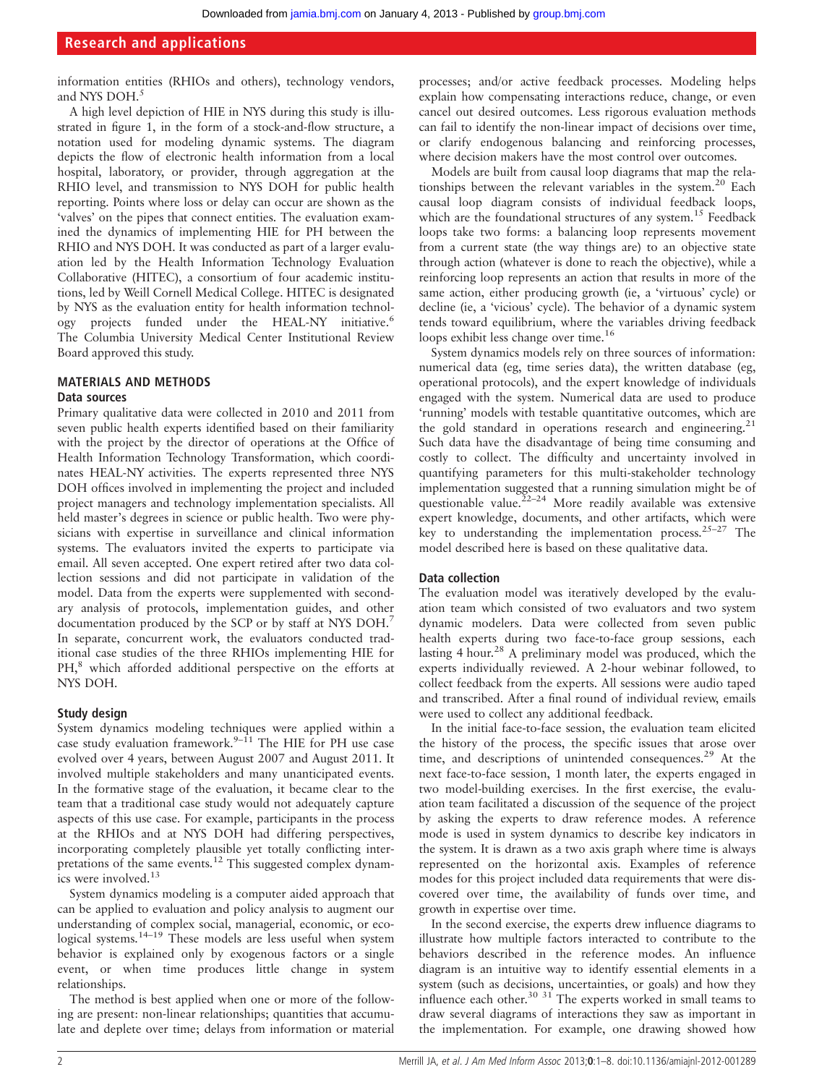## Research and applications

information entities (RHIOs and others), technology vendors, and NYS DOH.<sup>5</sup>

A high level depiction of HIE in NYS during this study is illustrated in figure 1, in the form of a stock-and-flow structure, a notation used for modeling dynamic systems. The diagram depicts the flow of electronic health information from a local hospital, laboratory, or provider, through aggregation at the RHIO level, and transmission to NYS DOH for public health reporting. Points where loss or delay can occur are shown as the 'valves' on the pipes that connect entities. The evaluation examined the dynamics of implementing HIE for PH between the RHIO and NYS DOH. It was conducted as part of a larger evaluation led by the Health Information Technology Evaluation Collaborative (HITEC), a consortium of four academic institutions, led by Weill Cornell Medical College. HITEC is designated by NYS as the evaluation entity for health information technology projects funded under the HEAL-NY initiative.<sup>6</sup> The Columbia University Medical Center Institutional Review Board approved this study.

#### MATERIALS AND METHODS Data sources

Primary qualitative data were collected in 2010 and 2011 from seven public health experts identified based on their familiarity with the project by the director of operations at the Office of Health Information Technology Transformation, which coordinates HEAL-NY activities. The experts represented three NYS DOH offices involved in implementing the project and included project managers and technology implementation specialists. All held master's degrees in science or public health. Two were physicians with expertise in surveillance and clinical information systems. The evaluators invited the experts to participate via email. All seven accepted. One expert retired after two data collection sessions and did not participate in validation of the model. Data from the experts were supplemented with secondary analysis of protocols, implementation guides, and other documentation produced by the SCP or by staff at NYS DOH.<sup>7</sup> In separate, concurrent work, the evaluators conducted traditional case studies of the three RHIOs implementing HIE for PH,<sup>8</sup> which afforded additional perspective on the efforts at NYS DOH.

#### Study design

System dynamics modeling techniques were applied within a case study evaluation framework. $9-11$  The HIE for PH use case evolved over 4 years, between August 2007 and August 2011. It involved multiple stakeholders and many unanticipated events. In the formative stage of the evaluation, it became clear to the team that a traditional case study would not adequately capture aspects of this use case. For example, participants in the process at the RHIOs and at NYS DOH had differing perspectives, incorporating completely plausible yet totally conflicting interpretations of the same events.<sup>12</sup> This suggested complex dynamics were involved.<sup>13</sup>

System dynamics modeling is a computer aided approach that can be applied to evaluation and policy analysis to augment our understanding of complex social, managerial, economic, or ecological systems.14–<sup>19</sup> These models are less useful when system behavior is explained only by exogenous factors or a single event, or when time produces little change in system relationships.

The method is best applied when one or more of the following are present: non-linear relationships; quantities that accumulate and deplete over time; delays from information or material

processes; and/or active feedback processes. Modeling helps explain how compensating interactions reduce, change, or even cancel out desired outcomes. Less rigorous evaluation methods can fail to identify the non-linear impact of decisions over time, or clarify endogenous balancing and reinforcing processes, where decision makers have the most control over outcomes.

Models are built from causal loop diagrams that map the relationships between the relevant variables in the system.<sup>20</sup> Each causal loop diagram consists of individual feedback loops, which are the foundational structures of any system.<sup>15</sup> Feedback loops take two forms: a balancing loop represents movement from a current state (the way things are) to an objective state through action (whatever is done to reach the objective), while a reinforcing loop represents an action that results in more of the same action, either producing growth (ie, a 'virtuous' cycle) or decline (ie, a 'vicious' cycle). The behavior of a dynamic system tends toward equilibrium, where the variables driving feedback loops exhibit less change over time.<sup>16</sup>

System dynamics models rely on three sources of information: numerical data (eg, time series data), the written database (eg, operational protocols), and the expert knowledge of individuals engaged with the system. Numerical data are used to produce 'running' models with testable quantitative outcomes, which are the gold standard in operations research and engineering.<sup>21</sup> Such data have the disadvantage of being time consuming and costly to collect. The difficulty and uncertainty involved in quantifying parameters for this multi-stakeholder technology implementation suggested that a running simulation might be of questionable value.<sup>22–24</sup> More readily available was extensive expert knowledge, documents, and other artifacts, which were key to understanding the implementation process. $25-27$  The model described here is based on these qualitative data.

#### Data collection

The evaluation model was iteratively developed by the evaluation team which consisted of two evaluators and two system dynamic modelers. Data were collected from seven public health experts during two face-to-face group sessions, each lasting 4 hour.<sup>28</sup> A preliminary model was produced, which the experts individually reviewed. A 2-hour webinar followed, to collect feedback from the experts. All sessions were audio taped and transcribed. After a final round of individual review, emails were used to collect any additional feedback.

In the initial face-to-face session, the evaluation team elicited the history of the process, the specific issues that arose over time, and descriptions of unintended consequences.<sup>29</sup> At the next face-to-face session, 1 month later, the experts engaged in two model-building exercises. In the first exercise, the evaluation team facilitated a discussion of the sequence of the project by asking the experts to draw reference modes. A reference mode is used in system dynamics to describe key indicators in the system. It is drawn as a two axis graph where time is always represented on the horizontal axis. Examples of reference modes for this project included data requirements that were discovered over time, the availability of funds over time, and growth in expertise over time.

In the second exercise, the experts drew influence diagrams to illustrate how multiple factors interacted to contribute to the behaviors described in the reference modes. An influence diagram is an intuitive way to identify essential elements in a system (such as decisions, uncertainties, or goals) and how they influence each other. $30\,31$  The experts worked in small teams to draw several diagrams of interactions they saw as important in the implementation. For example, one drawing showed how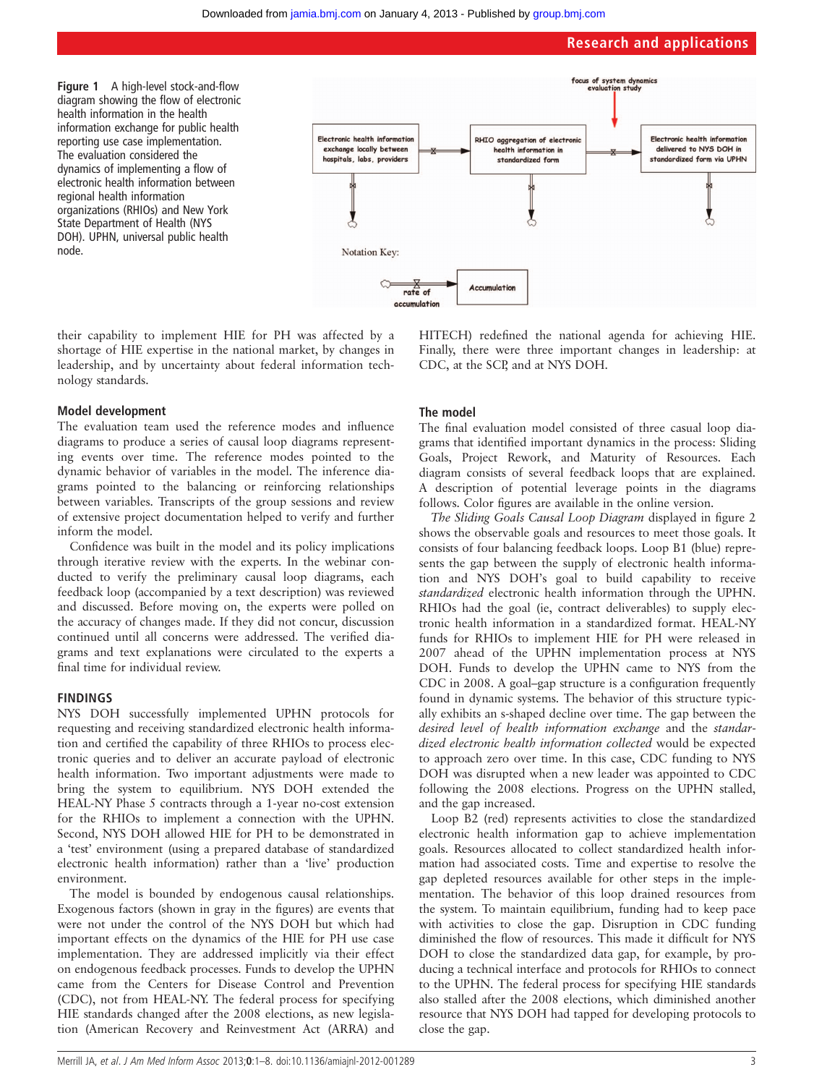Figure 1 A high-level stock-and-flow diagram showing the flow of electronic health information in the health information exchange for public health reporting use case implementation. The evaluation considered the dynamics of implementing a flow of electronic health information between regional health information organizations (RHIOs) and New York State Department of Health (NYS DOH). UPHN, universal public health node.



their capability to implement HIE for PH was affected by a shortage of HIE expertise in the national market, by changes in leadership, and by uncertainty about federal information technology standards.

#### Model development

The evaluation team used the reference modes and influence diagrams to produce a series of causal loop diagrams representing events over time. The reference modes pointed to the dynamic behavior of variables in the model. The inference diagrams pointed to the balancing or reinforcing relationships between variables. Transcripts of the group sessions and review of extensive project documentation helped to verify and further inform the model.

Confidence was built in the model and its policy implications through iterative review with the experts. In the webinar conducted to verify the preliminary causal loop diagrams, each feedback loop (accompanied by a text description) was reviewed and discussed. Before moving on, the experts were polled on the accuracy of changes made. If they did not concur, discussion continued until all concerns were addressed. The verified diagrams and text explanations were circulated to the experts a final time for individual review.

#### FINDINGS

NYS DOH successfully implemented UPHN protocols for requesting and receiving standardized electronic health information and certified the capability of three RHIOs to process electronic queries and to deliver an accurate payload of electronic health information. Two important adjustments were made to bring the system to equilibrium. NYS DOH extended the HEAL-NY Phase 5 contracts through a 1-year no-cost extension for the RHIOs to implement a connection with the UPHN. Second, NYS DOH allowed HIE for PH to be demonstrated in a 'test' environment (using a prepared database of standardized electronic health information) rather than a 'live' production environment.

The model is bounded by endogenous causal relationships. Exogenous factors (shown in gray in the figures) are events that were not under the control of the NYS DOH but which had important effects on the dynamics of the HIE for PH use case implementation. They are addressed implicitly via their effect on endogenous feedback processes. Funds to develop the UPHN came from the Centers for Disease Control and Prevention (CDC), not from HEAL-NY. The federal process for specifying HIE standards changed after the 2008 elections, as new legislation (American Recovery and Reinvestment Act (ARRA) and

HITECH) redefined the national agenda for achieving HIE. Finally, there were three important changes in leadership: at CDC, at the SCP, and at NYS DOH.

#### The model

The final evaluation model consisted of three casual loop diagrams that identified important dynamics in the process: Sliding Goals, Project Rework, and Maturity of Resources. Each diagram consists of several feedback loops that are explained. A description of potential leverage points in the diagrams follows. Color figures are available in the online version.

The Sliding Goals Causal Loop Diagram displayed in figure 2 shows the observable goals and resources to meet those goals. It consists of four balancing feedback loops. Loop B1 (blue) represents the gap between the supply of electronic health information and NYS DOH's goal to build capability to receive standardized electronic health information through the UPHN. RHIOs had the goal (ie, contract deliverables) to supply electronic health information in a standardized format. HEAL-NY funds for RHIOs to implement HIE for PH were released in 2007 ahead of the UPHN implementation process at NYS DOH. Funds to develop the UPHN came to NYS from the CDC in 2008. A goal–gap structure is a configuration frequently found in dynamic systems. The behavior of this structure typically exhibits an s-shaped decline over time. The gap between the desired level of health information exchange and the standardized electronic health information collected would be expected to approach zero over time. In this case, CDC funding to NYS DOH was disrupted when a new leader was appointed to CDC following the 2008 elections. Progress on the UPHN stalled, and the gap increased.

Loop B2 (red) represents activities to close the standardized electronic health information gap to achieve implementation goals. Resources allocated to collect standardized health information had associated costs. Time and expertise to resolve the gap depleted resources available for other steps in the implementation. The behavior of this loop drained resources from the system. To maintain equilibrium, funding had to keep pace with activities to close the gap. Disruption in CDC funding diminished the flow of resources. This made it difficult for NYS DOH to close the standardized data gap, for example, by producing a technical interface and protocols for RHIOs to connect to the UPHN. The federal process for specifying HIE standards also stalled after the 2008 elections, which diminished another resource that NYS DOH had tapped for developing protocols to close the gap.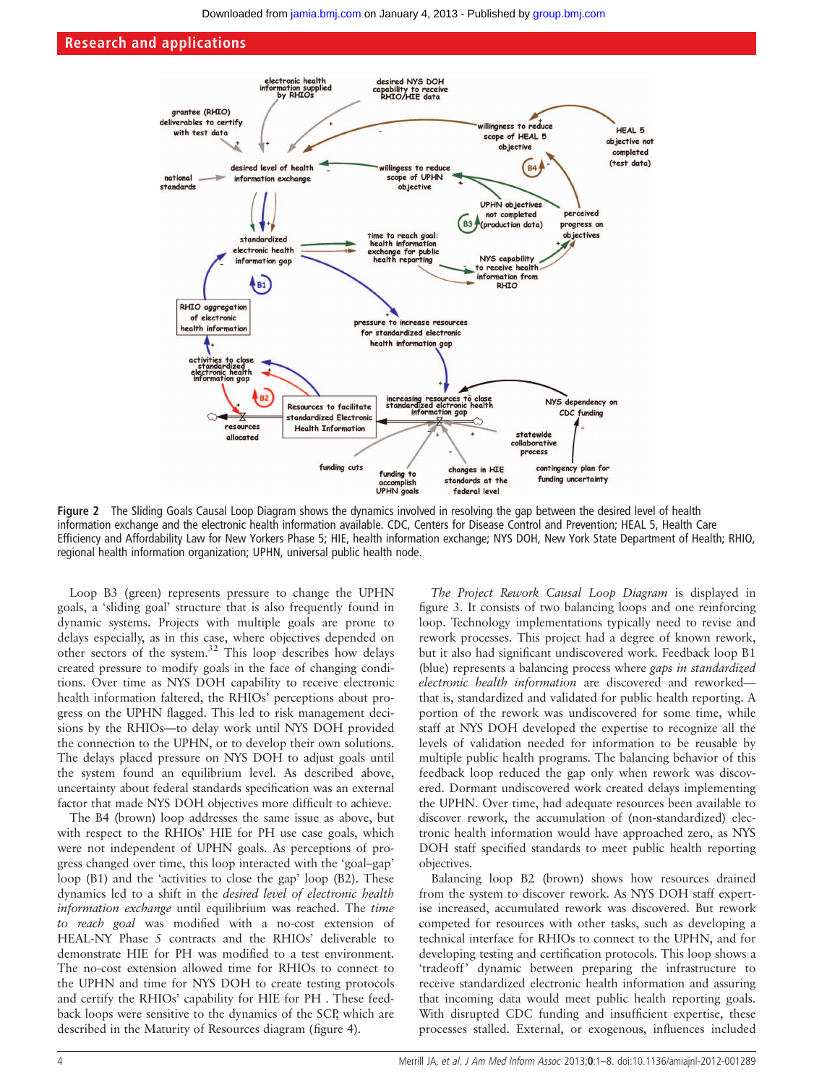

Figure 2 The Sliding Goals Causal Loop Diagram shows the dynamics involved in resolving the gap between the desired level of health information exchange and the electronic health information available. CDC, Centers for Disease Control and Prevention; HEAL 5, Health Care Efficiency and Affordability Law for New Yorkers Phase 5; HIE, health information exchange; NYS DOH, New York State Department of Health; RHIO, regional health information organization; UPHN, universal public health node.

Loop B3 (green) represents pressure to change the UPHN goals, a 'sliding goal' structure that is also frequently found in dynamic systems. Projects with multiple goals are prone to delays especially, as in this case, where objectives depended on other sectors of the system.32 This loop describes how delays created pressure to modify goals in the face of changing conditions. Over time as NYS DOH capability to receive electronic health information faltered, the RHIOs' perceptions about progress on the UPHN flagged. This led to risk management decisions by the RHIOs—to delay work until NYS DOH provided the connection to the UPHN, or to develop their own solutions. The delays placed pressure on NYS DOH to adjust goals until the system found an equilibrium level. As described above, uncertainty about federal standards specification was an external factor that made NYS DOH objectives more difficult to achieve.

The B4 (brown) loop addresses the same issue as above, but with respect to the RHIOs' HIE for PH use case goals, which were not independent of UPHN goals. As perceptions of progress changed over time, this loop interacted with the 'goal–gap' loop (B1) and the 'activities to close the gap' loop (B2). These dynamics led to a shift in the desired level of electronic health information exchange until equilibrium was reached. The time to reach goal was modified with a no-cost extension of HEAL-NY Phase 5 contracts and the RHIOs' deliverable to demonstrate HIE for PH was modified to a test environment. The no-cost extension allowed time for RHIOs to connect to the UPHN and time for NYS DOH to create testing protocols and certify the RHIOs' capability for HIE for PH . These feedback loops were sensitive to the dynamics of the SCP, which are described in the Maturity of Resources diagram (figure 4).

The Project Rework Causal Loop Diagram is displayed in figure 3. It consists of two balancing loops and one reinforcing loop. Technology implementations typically need to revise and rework processes. This project had a degree of known rework, but it also had significant undiscovered work. Feedback loop B1 (blue) represents a balancing process where gaps in standardized electronic health information are discovered and reworked that is, standardized and validated for public health reporting. A portion of the rework was undiscovered for some time, while staff at NYS DOH developed the expertise to recognize all the levels of validation needed for information to be reusable by multiple public health programs. The balancing behavior of this feedback loop reduced the gap only when rework was discovered. Dormant undiscovered work created delays implementing the UPHN. Over time, had adequate resources been available to discover rework, the accumulation of (non-standardized) electronic health information would have approached zero, as NYS DOH staff specified standards to meet public health reporting objectives.

Balancing loop B2 (brown) shows how resources drained from the system to discover rework. As NYS DOH staff expertise increased, accumulated rework was discovered. But rework competed for resources with other tasks, such as developing a technical interface for RHIOs to connect to the UPHN, and for developing testing and certification protocols. This loop shows a 'tradeoff' dynamic between preparing the infrastructure to receive standardized electronic health information and assuring that incoming data would meet public health reporting goals. With disrupted CDC funding and insufficient expertise, these processes stalled. External, or exogenous, influences included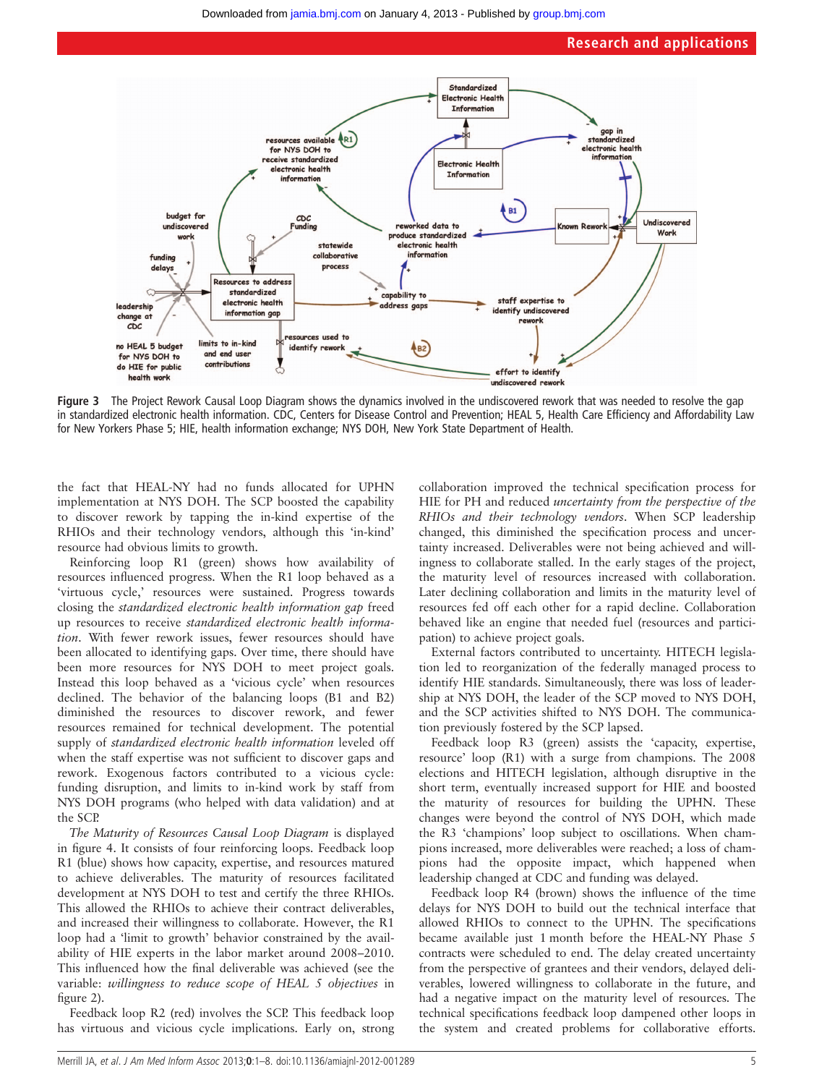

Figure 3 The Project Rework Causal Loop Diagram shows the dynamics involved in the undiscovered rework that was needed to resolve the gap in standardized electronic health information. CDC, Centers for Disease Control and Prevention; HEAL 5, Health Care Efficiency and Affordability Law for New Yorkers Phase 5; HIE, health information exchange; NYS DOH, New York State Department of Health.

the fact that HEAL-NY had no funds allocated for UPHN implementation at NYS DOH. The SCP boosted the capability to discover rework by tapping the in-kind expertise of the RHIOs and their technology vendors, although this 'in-kind' resource had obvious limits to growth.

Reinforcing loop R1 (green) shows how availability of resources influenced progress. When the R1 loop behaved as a 'virtuous cycle,' resources were sustained. Progress towards closing the standardized electronic health information gap freed up resources to receive standardized electronic health information. With fewer rework issues, fewer resources should have been allocated to identifying gaps. Over time, there should have been more resources for NYS DOH to meet project goals. Instead this loop behaved as a 'vicious cycle' when resources declined. The behavior of the balancing loops (B1 and B2) diminished the resources to discover rework, and fewer resources remained for technical development. The potential supply of standardized electronic health information leveled off when the staff expertise was not sufficient to discover gaps and rework. Exogenous factors contributed to a vicious cycle: funding disruption, and limits to in-kind work by staff from NYS DOH programs (who helped with data validation) and at the SCP.

The Maturity of Resources Causal Loop Diagram is displayed in figure 4. It consists of four reinforcing loops. Feedback loop R1 (blue) shows how capacity, expertise, and resources matured to achieve deliverables. The maturity of resources facilitated development at NYS DOH to test and certify the three RHIOs. This allowed the RHIOs to achieve their contract deliverables, and increased their willingness to collaborate. However, the R1 loop had a 'limit to growth' behavior constrained by the availability of HIE experts in the labor market around 2008–2010. This influenced how the final deliverable was achieved (see the variable: willingness to reduce scope of HEAL 5 objectives in figure 2).

Feedback loop R2 (red) involves the SCP. This feedback loop has virtuous and vicious cycle implications. Early on, strong collaboration improved the technical specification process for HIE for PH and reduced uncertainty from the perspective of the RHIOs and their technology vendors. When SCP leadership changed, this diminished the specification process and uncertainty increased. Deliverables were not being achieved and willingness to collaborate stalled. In the early stages of the project, the maturity level of resources increased with collaboration. Later declining collaboration and limits in the maturity level of resources fed off each other for a rapid decline. Collaboration behaved like an engine that needed fuel (resources and participation) to achieve project goals.

External factors contributed to uncertainty. HITECH legislation led to reorganization of the federally managed process to identify HIE standards. Simultaneously, there was loss of leadership at NYS DOH, the leader of the SCP moved to NYS DOH, and the SCP activities shifted to NYS DOH. The communication previously fostered by the SCP lapsed.

Feedback loop R3 (green) assists the 'capacity, expertise, resource' loop (R1) with a surge from champions. The 2008 elections and HITECH legislation, although disruptive in the short term, eventually increased support for HIE and boosted the maturity of resources for building the UPHN. These changes were beyond the control of NYS DOH, which made the R3 'champions' loop subject to oscillations. When champions increased, more deliverables were reached; a loss of champions had the opposite impact, which happened when leadership changed at CDC and funding was delayed.

Feedback loop R4 (brown) shows the influence of the time delays for NYS DOH to build out the technical interface that allowed RHIOs to connect to the UPHN. The specifications became available just 1 month before the HEAL-NY Phase 5 contracts were scheduled to end. The delay created uncertainty from the perspective of grantees and their vendors, delayed deliverables, lowered willingness to collaborate in the future, and had a negative impact on the maturity level of resources. The technical specifications feedback loop dampened other loops in the system and created problems for collaborative efforts.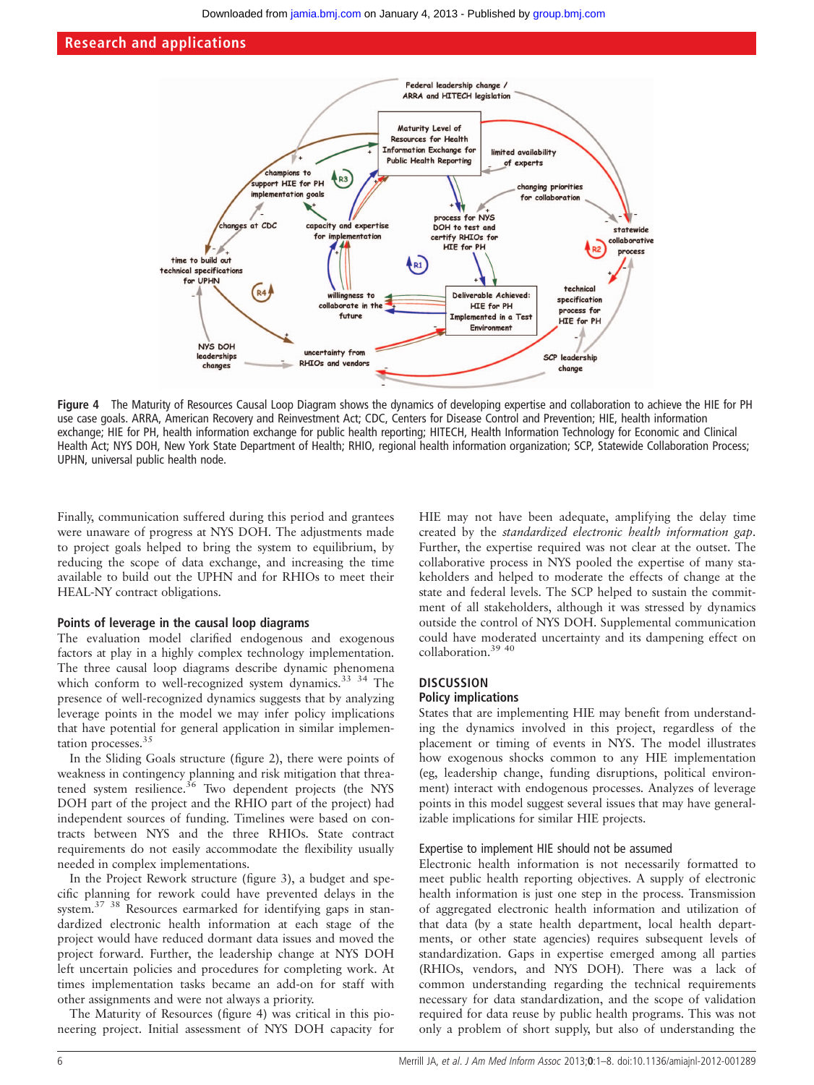

Figure 4 The Maturity of Resources Causal Loop Diagram shows the dynamics of developing expertise and collaboration to achieve the HIE for PH use case goals. ARRA, American Recovery and Reinvestment Act; CDC, Centers for Disease Control and Prevention; HIE, health information exchange; HIE for PH, health information exchange for public health reporting; HITECH, Health Information Technology for Economic and Clinical Health Act; NYS DOH, New York State Department of Health; RHIO, regional health information organization; SCP, Statewide Collaboration Process; UPHN, universal public health node.

Finally, communication suffered during this period and grantees were unaware of progress at NYS DOH. The adjustments made to project goals helped to bring the system to equilibrium, by reducing the scope of data exchange, and increasing the time available to build out the UPHN and for RHIOs to meet their HEAL-NY contract obligations.

#### Points of leverage in the causal loop diagrams

The evaluation model clarified endogenous and exogenous factors at play in a highly complex technology implementation. The three causal loop diagrams describe dynamic phenomena which conform to well-recognized system dynamics.<sup>33</sup> <sup>34</sup> The presence of well-recognized dynamics suggests that by analyzing leverage points in the model we may infer policy implications that have potential for general application in similar implementation processes.<sup>35</sup>

In the Sliding Goals structure (figure 2), there were points of weakness in contingency planning and risk mitigation that threatened system resilience.<sup>36</sup> Two dependent projects (the NYS DOH part of the project and the RHIO part of the project) had independent sources of funding. Timelines were based on contracts between NYS and the three RHIOs. State contract requirements do not easily accommodate the flexibility usually needed in complex implementations.

In the Project Rework structure (figure 3), a budget and specific planning for rework could have prevented delays in the system.37 38 Resources earmarked for identifying gaps in standardized electronic health information at each stage of the project would have reduced dormant data issues and moved the project forward. Further, the leadership change at NYS DOH left uncertain policies and procedures for completing work. At times implementation tasks became an add-on for staff with other assignments and were not always a priority.

The Maturity of Resources (figure 4) was critical in this pioneering project. Initial assessment of NYS DOH capacity for HIE may not have been adequate, amplifying the delay time created by the standardized electronic health information gap. Further, the expertise required was not clear at the outset. The collaborative process in NYS pooled the expertise of many stakeholders and helped to moderate the effects of change at the state and federal levels. The SCP helped to sustain the commitment of all stakeholders, although it was stressed by dynamics outside the control of NYS DOH. Supplemental communication could have moderated uncertainty and its dampening effect on collaboration.<sup>39</sup> 40

#### **DISCUSSION**

#### Policy implications

States that are implementing HIE may benefit from understanding the dynamics involved in this project, regardless of the placement or timing of events in NYS. The model illustrates how exogenous shocks common to any HIE implementation (eg, leadership change, funding disruptions, political environment) interact with endogenous processes. Analyzes of leverage points in this model suggest several issues that may have generalizable implications for similar HIE projects.

#### Expertise to implement HIE should not be assumed

Electronic health information is not necessarily formatted to meet public health reporting objectives. A supply of electronic health information is just one step in the process. Transmission of aggregated electronic health information and utilization of that data (by a state health department, local health departments, or other state agencies) requires subsequent levels of standardization. Gaps in expertise emerged among all parties (RHIOs, vendors, and NYS DOH). There was a lack of common understanding regarding the technical requirements necessary for data standardization, and the scope of validation required for data reuse by public health programs. This was not only a problem of short supply, but also of understanding the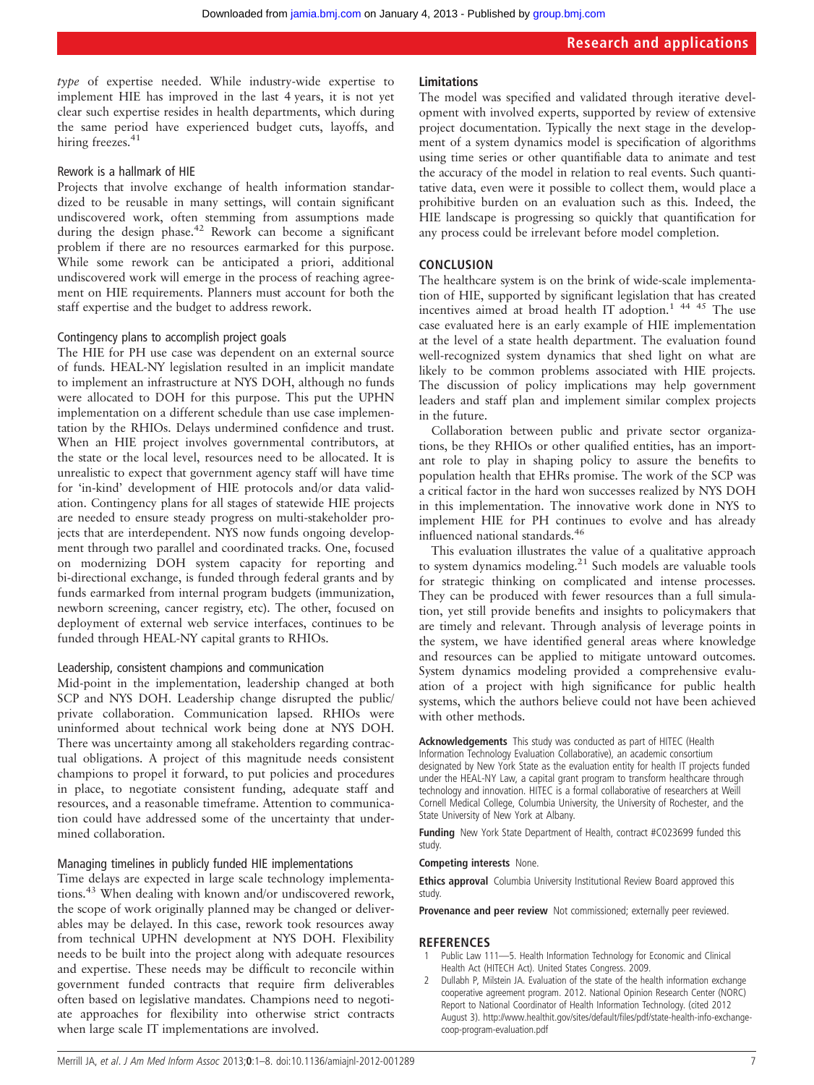type of expertise needed. While industry-wide expertise to implement HIE has improved in the last 4 years, it is not yet clear such expertise resides in health departments, which during the same period have experienced budget cuts, layoffs, and hiring freezes.<sup>41</sup>

## Rework is a hallmark of HIE

Projects that involve exchange of health information standardized to be reusable in many settings, will contain significant undiscovered work, often stemming from assumptions made during the design phase.<sup>42</sup> Rework can become a significant problem if there are no resources earmarked for this purpose. While some rework can be anticipated a priori, additional undiscovered work will emerge in the process of reaching agreement on HIE requirements. Planners must account for both the staff expertise and the budget to address rework.

## Contingency plans to accomplish project goals

The HIE for PH use case was dependent on an external source of funds. HEAL-NY legislation resulted in an implicit mandate to implement an infrastructure at NYS DOH, although no funds were allocated to DOH for this purpose. This put the UPHN implementation on a different schedule than use case implementation by the RHIOs. Delays undermined confidence and trust. When an HIE project involves governmental contributors, at the state or the local level, resources need to be allocated. It is unrealistic to expect that government agency staff will have time for 'in-kind' development of HIE protocols and/or data validation. Contingency plans for all stages of statewide HIE projects are needed to ensure steady progress on multi-stakeholder projects that are interdependent. NYS now funds ongoing development through two parallel and coordinated tracks. One, focused on modernizing DOH system capacity for reporting and bi-directional exchange, is funded through federal grants and by funds earmarked from internal program budgets (immunization, newborn screening, cancer registry, etc). The other, focused on deployment of external web service interfaces, continues to be funded through HEAL-NY capital grants to RHIOs.

## Leadership, consistent champions and communication

Mid-point in the implementation, leadership changed at both SCP and NYS DOH. Leadership change disrupted the public/ private collaboration. Communication lapsed. RHIOs were uninformed about technical work being done at NYS DOH. There was uncertainty among all stakeholders regarding contractual obligations. A project of this magnitude needs consistent champions to propel it forward, to put policies and procedures in place, to negotiate consistent funding, adequate staff and resources, and a reasonable timeframe. Attention to communication could have addressed some of the uncertainty that undermined collaboration.

## Managing timelines in publicly funded HIE implementations

Time delays are expected in large scale technology implementations.<sup>43</sup> When dealing with known and/or undiscovered rework, the scope of work originally planned may be changed or deliverables may be delayed. In this case, rework took resources away from technical UPHN development at NYS DOH. Flexibility needs to be built into the project along with adequate resources and expertise. These needs may be difficult to reconcile within government funded contracts that require firm deliverables often based on legislative mandates. Champions need to negotiate approaches for flexibility into otherwise strict contracts when large scale IT implementations are involved.

#### Limitations

The model was specified and validated through iterative development with involved experts, supported by review of extensive project documentation. Typically the next stage in the development of a system dynamics model is specification of algorithms using time series or other quantifiable data to animate and test the accuracy of the model in relation to real events. Such quantitative data, even were it possible to collect them, would place a prohibitive burden on an evaluation such as this. Indeed, the HIE landscape is progressing so quickly that quantification for any process could be irrelevant before model completion.

#### **CONCLUSION**

The healthcare system is on the brink of wide-scale implementation of HIE, supported by significant legislation that has created incentives aimed at broad health IT adoption.<sup>1</sup> <sup>44 45</sup> The use case evaluated here is an early example of HIE implementation at the level of a state health department. The evaluation found well-recognized system dynamics that shed light on what are likely to be common problems associated with HIE projects. The discussion of policy implications may help government leaders and staff plan and implement similar complex projects in the future.

Collaboration between public and private sector organizations, be they RHIOs or other qualified entities, has an important role to play in shaping policy to assure the benefits to population health that EHRs promise. The work of the SCP was a critical factor in the hard won successes realized by NYS DOH in this implementation. The innovative work done in NYS to implement HIE for PH continues to evolve and has already influenced national standards.<sup>46</sup>

This evaluation illustrates the value of a qualitative approach to system dynamics modeling.<sup>21</sup> Such models are valuable tools for strategic thinking on complicated and intense processes. They can be produced with fewer resources than a full simulation, yet still provide benefits and insights to policymakers that are timely and relevant. Through analysis of leverage points in the system, we have identified general areas where knowledge and resources can be applied to mitigate untoward outcomes. System dynamics modeling provided a comprehensive evaluation of a project with high significance for public health systems, which the authors believe could not have been achieved with other methods.

Acknowledgements This study was conducted as part of HITEC (Health Information Technology Evaluation Collaborative), an academic consortium designated by New York State as the evaluation entity for health IT projects funded under the HEAL-NY Law, a capital grant program to transform healthcare through technology and innovation. HITEC is a formal collaborative of researchers at Weill Cornell Medical College, Columbia University, the University of Rochester, and the State University of New York at Albany.

Funding New York State Department of Health, contract #C023699 funded this study.

#### Competing interests None.

Ethics approval Columbia University Institutional Review Board approved this study.

Provenance and peer review Not commissioned; externally peer reviewed.

#### REFERENCES

- Public Law 111-5. Health Information Technology for Economic and Clinical Health Act (HITECH Act). United States Congress. 2009.
- 2 Dullabh P, Milstein JA. Evaluation of the state of the health information exchange cooperative agreement program. 2012. National Opinion Research Center (NORC) Report to National Coordinator of Health Information Technology. (cited 2012 August 3). [http://www.healthit.gov/sites/default/](http://www.healthit.gov/sites/default/files/pdf/state-health-info-exchange-coop-program-evaluation.pdf)files/pdf/state-health-info-exchange[coop-program-evaluation.pdf](http://www.healthit.gov/sites/default/files/pdf/state-health-info-exchange-coop-program-evaluation.pdf)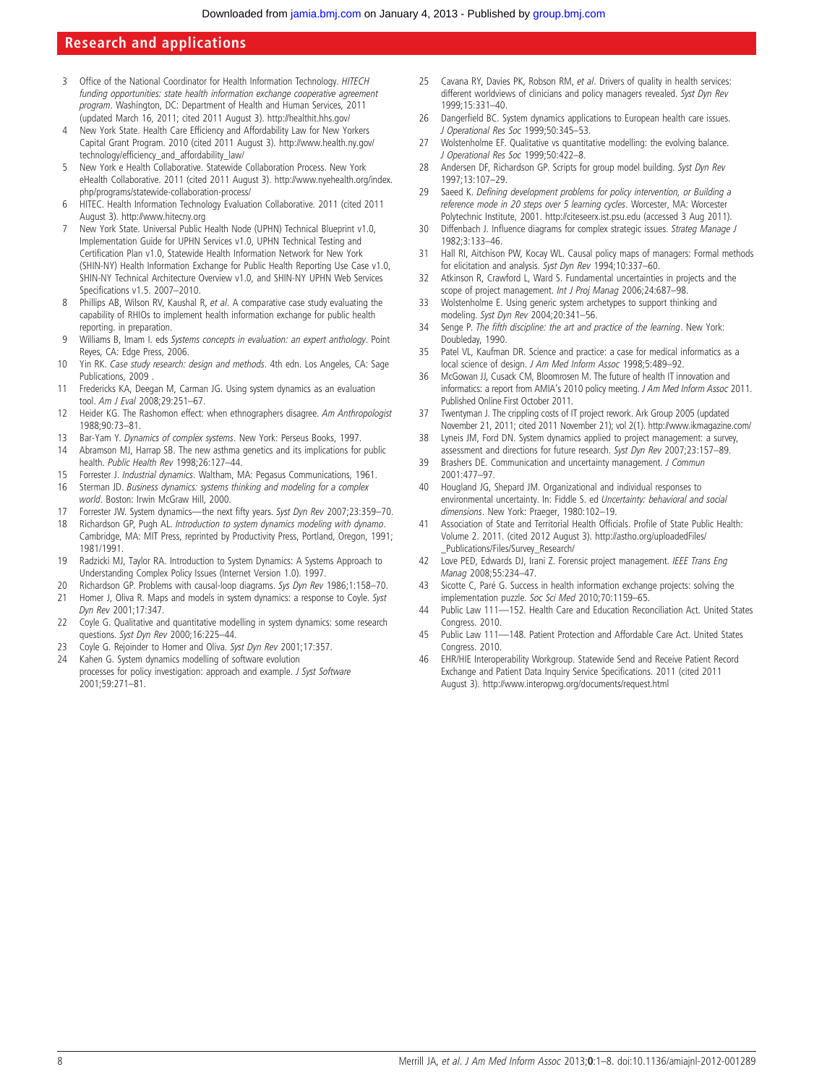## Research and applications

- 3 Office of the National Coordinator for Health Information Technology. HITECH funding opportunities: state health information exchange cooperative agreement program. Washington, DC: Department of Health and Human Services, 2011 (updated March 16, 2011; cited 2011 August 3).<http://healthit.hhs.gov/>
- 4 New York State. Health Care Efficiency and Affordability Law for New Yorkers Capital Grant Program. 2010 (cited 2011 August 3). [http://www.health.ny.gov/](http://www.health.ny.gov/technology/efficiency_and_affordability_law/) technology/effi[ciency\\_and\\_affordability\\_law/](http://www.health.ny.gov/technology/efficiency_and_affordability_law/)
- 5 New York e Health Collaborative. Statewide Collaboration Process. New York eHealth Collaborative. 2011 (cited 2011 August 3). [http://www.nyehealth.org/index.](http://www.nyehealth.org/index.php/programs/statewide-collaboration-process/) [php/programs/statewide-collaboration-process/](http://www.nyehealth.org/index.php/programs/statewide-collaboration-process/)
- 6 HITEC. Health Information Technology Evaluation Collaborative. 2011 (cited 2011 August 3).<http://www.hitecny.org>
- 7 New York State. Universal Public Health Node (UPHN) Technical Blueprint v1.0, Implementation Guide for UPHN Services v1.0, UPHN Technical Testing and Certification Plan v1.0, Statewide Health Information Network for New York (SHIN-NY) Health Information Exchange for Public Health Reporting Use Case v1.0, SHIN-NY Technical Architecture Overview v1.0, and SHIN-NY UPHN Web Services Specifications v1.5. 2007–2010.
- 8 Phillips AB, Wilson RV, Kaushal R, et al. A comparative case study evaluating the capability of RHIOs to implement health information exchange for public health reporting. in preparation.
- 9 Williams B, Imam I. eds Systems concepts in evaluation: an expert anthology. Point Reyes, CA: Edge Press, 2006.
- 10 Yin RK. Case study research: design and methods. 4th edn. Los Angeles, CA: Sage Publications, 2009 .
- 11 Fredericks KA, Deegan M, Carman JG. Using system dynamics as an evaluation tool. Am J Eval 2008;29:251–67.
- 12 Heider KG. The Rashomon effect: when ethnographers disagree. Am Anthropologist 1988;90:73–81.
- 13 Bar-Yam Y. Dynamics of complex systems. New York: Perseus Books, 1997.
- 14 Abramson MJ, Harrap SB. The new asthma genetics and its implications for public health. Public Health Rev 1998;26:127–44.
- 15 Forrester J. Industrial dynamics. Waltham, MA: Pegasus Communications, 1961.
- 16 Sterman JD. Business dynamics: systems thinking and modeling for a complex world. Boston: Irwin McGraw Hill, 2000.
- 17 Forrester JW. System dynamics—the next fifty years. Syst Dyn Rev 2007;23:359-70. 18 Richardson GP, Pugh AL. Introduction to system dynamics modeling with dynamo. Cambridge, MA: MIT Press, reprinted by Productivity Press, Portland, Oregon, 1991;
- 1981/1991. 19 Radzicki MJ, Taylor RA. Introduction to System Dynamics: A Systems Approach to Understanding Complex Policy Issues (Internet Version 1.0). 1997.
- 20 Richardson GP. Problems with causal-loop diagrams. Sys Dyn Rev 1986;1:158-70.
- 21 Homer J, Oliva R. Maps and models in system dynamics: a response to Coyle. Syst Dyn Rev 2001;17:347.
- 22 Coyle G. Qualitative and quantitative modelling in system dynamics: some research questions. Syst Dyn Rev 2000;16:225–44.
- 23 Coyle G. Rejoinder to Homer and Oliva. Syst Dyn Rev 2001;17:357.
- 24 Kahen G. System dynamics modelling of software evolution processes for policy investigation: approach and example. J Syst Software 2001;59:271–81.
- 25 Cavana RY, Davies PK, Robson RM, et al. Drivers of quality in health services: different worldviews of clinicians and policy managers revealed. Syst Dyn Rev 1999;15:331–40.
- 26 Dangerfield BC. System dynamics applications to European health care issues. J Operational Res Soc 1999;50:345–53.
- 27 Wolstenholme EF. Qualitative vs quantitative modelling: the evolving balance. J Operational Res Soc 1999;50:422–8.
- 28 Andersen DF, Richardson GP. Scripts for group model building. Syst Dyn Rev 1997;13:107–29.
- 29 Saeed K. Defining development problems for policy intervention, or Building a reference mode in 20 steps over 5 learning cycles. Worcester, MA: Worcester Polytechnic Institute, 2001.<http://citeseerx.ist.psu.edu> (accessed 3 Aug 2011).
- 30 Diffenbach J. Influence diagrams for complex strategic issues. Strateg Manage J 1982;3:133–46.
- 31 Hall RI, Aitchison PW, Kocay WL. Causal policy maps of managers: Formal methods for elicitation and analysis. Syst Dyn Rev 1994;10:337–60.
- 32 Atkinson R, Crawford L, Ward S. Fundamental uncertainties in projects and the scope of project management. Int J Proj Manag 2006;24:687-98.
- 33 Wolstenholme E. Using generic system archetypes to support thinking and modeling. Syst Dyn Rev 2004;20:341–56.
- 34 Senge P. The fifth discipline: the art and practice of the learning. New York: Doubleday, 1990.
- 35 Patel VL, Kaufman DR. Science and practice: a case for medical informatics as a local science of design. J Am Med Inform Assoc 1998;5:489-92.
- 36 McGowan JJ, Cusack CM, Bloomrosen M. The future of health IT innovation and informatics: a report from AMIA's 2010 policy meeting. J Am Med Inform Assoc 2011. Published Online First October 2011.
- 37 Twentyman J. The crippling costs of IT project rework. Ark Group 2005 (updated November 21, 2011; cited 2011 November 21); vol 2(1).<http://www.ikmagazine.com/>
- 38 Lyneis JM, Ford DN. System dynamics applied to project management: a survey, assessment and directions for future research. Syst Dyn Rev 2007;23:157–89.
- 39 Brashers DE. Communication and uncertainty management. J Commun 2001:477–97.
- 40 Hougland JG, Shepard JM. Organizational and individual responses to environmental uncertainty. In: Fiddle S. ed Uncertainty: behavioral and social dimensions. New York: Praeger, 1980:102-19.
- Association of State and Territorial Health Officials. Profile of State Public Health: Volume 2. 2011. (cited 2012 August 3). [http://astho.org/uploadedFiles/](http://astho.org/uploadedFiles/_Publications/Files/Survey_Research/) [\\_Publications/Files/Survey\\_Research/](http://astho.org/uploadedFiles/_Publications/Files/Survey_Research/)
- 42 Love PED, Edwards DJ, Irani Z. Forensic project management. IEEE Trans Eng Manag 2008;55:234–47.
- 43 Sicotte C, Paré G. Success in health information exchange projects: solving the implementation puzzle. Soc Sci Med 2010;70:1159–65.
- 44 Public Law 111—152. Health Care and Education Reconciliation Act. United States Congress. 2010.
- 45 Public Law 111—148. Patient Protection and Affordable Care Act. United States Congress. 2010.
- 46 EHR/HIE Interoperability Workgroup. Statewide Send and Receive Patient Record Exchange and Patient Data Inquiry Service Specifications. 2011 (cited 2011 August 3).<http://www.interopwg.org/documents/request.html>